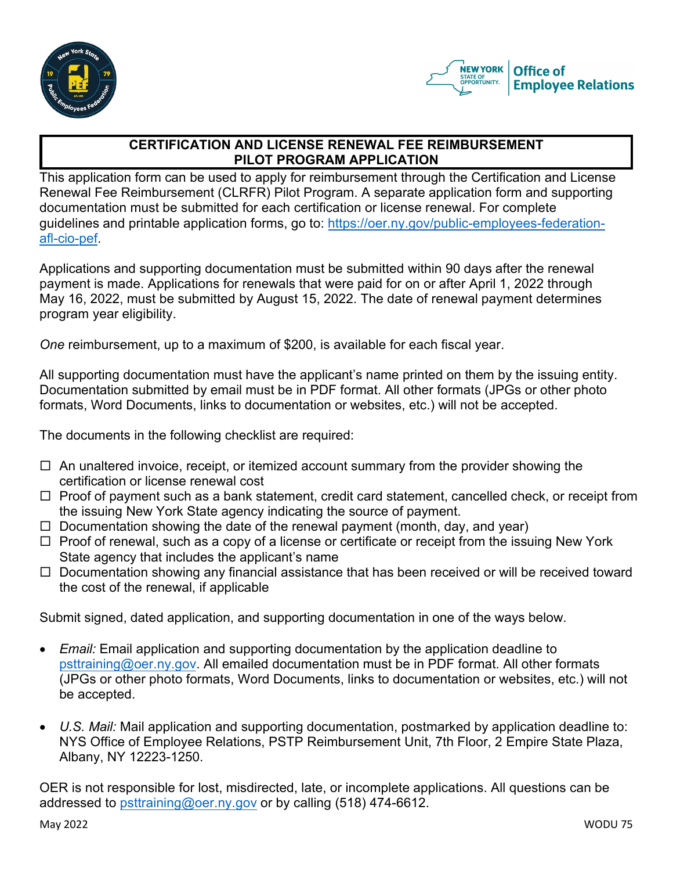



# **CERTIFICATION AND LICENSE RENEWAL FEE REIMBURSEMENT PILOT PROGRAM APPLICATION**

This application form can be used to apply for reimbursement through the Certification and License Renewal Fee Reimbursement (CLRFR) Pilot Program. A separate application form and supporting documentation must be submitted for each certification or license renewal. For complete guidelines and printable application forms, go to: https://oer.ny.gov/public-employees-federationafl-cio-pef.

Applications and supporting documentation must be submitted within 90 days after the renewal payment is made. Applications for renewals that were paid for on or after April 1, 2022 through May 16, 2022, must be submitted by August 15, 2022. The date of renewal payment determines program year eligibility.

*One* reimbursement, up to a maximum of \$200, is available for each fiscal year.

All supporting documentation must have the applicant's name printed on them by the issuing entity. Documentation submitted by email must be in PDF format. All other formats (JPGs or other photo formats, Word Documents, links to documentation or websites, etc.) will not be accepted.

The documents in the following checklist are required:

- $\Box$  An unaltered invoice, receipt, or itemized account summary from the provider showing the certification or license renewal cost
- $\Box$  Proof of payment such as a bank statement, credit card statement, cancelled check, or receipt from the issuing New York State agency indicating the source of payment.
- $\Box$  Documentation showing the date of the renewal payment (month, day, and year)
- $\Box$  Proof of renewal, such as a copy of a license or certificate or receipt from the issuing New York State agency that includes the applicant's name
- $\Box$  Documentation showing any financial assistance that has been received or will be received toward the cost of the renewal, if applicable

Submit signed, dated application, and supporting documentation in one of the ways below.

- *Email:* Email application and supporting documentation by the application deadline to psttraining@oer.ny.gov. All emailed documentation must be in PDF format. All other formats (JPGs or other photo formats, Word Documents, links to documentation or websites, etc.) will not be accepted.
- *U.S. Mail:* Mail application and supporting documentation, postmarked by application deadline to: NYS Office of Employee Relations, PSTP Reimbursement Unit, 7th Floor, 2 Empire State Plaza, Albany, NY 12223-1250.

OER is not responsible for lost, misdirected, late, or incomplete applications. All questions can be addressed to psttraining@oer.ny.gov or by calling (518) 474-6612.